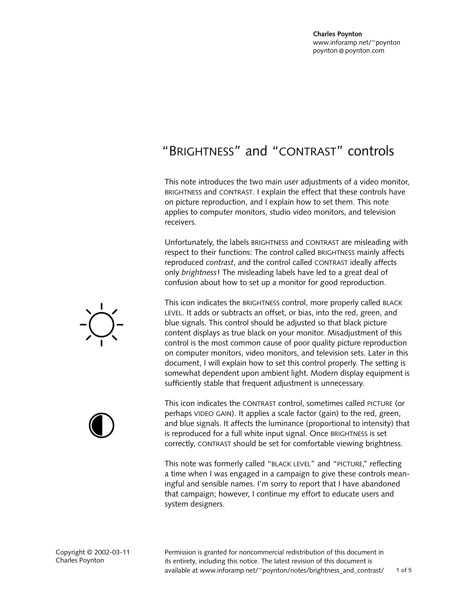# "BRIGHTNESS" and "CONTRAST" controls

This note introduces the two main user adjustments of a video monitor, BRIGHTNESS and CONTRAST. I explain the effect that these controls have on picture reproduction, and I explain how to set them. This note applies to computer monitors, studio video monitors, and television receivers.

Unfortunately, the labels BRIGHTNESS and CONTRAST are misleading with respect to their functions: The control called BRIGHTNESS mainly affects reproduced *contrast*, and the control called CONTRAST ideally affects only *brightness*! The misleading labels have led to a great deal of confusion about how to set up a monitor for good reproduction.

This icon indicates the BRIGHTNESS control, more properly called BLACK LEVEL. It adds or subtracts an offset, or bias, into the red, green, and blue signals. This control should be adjusted so that black picture content displays as true black on your monitor. Misadjustment of this control is the most common cause of poor quality picture reproduction on computer monitors, video monitors, and television sets. Later in this document, I will explain how to set this control properly. The setting is somewhat dependent upon ambient light. Modern display equipment is sufficiently stable that frequent adjustment is unnecessary.

This icon indicates the CONTRAST control, sometimes called PICTURE (or perhaps VIDEO GAIN). It applies a scale factor (gain) to the red, green, and blue signals. It affects the luminance (proportional to intensity) that is reproduced for a full white input signal. Once BRIGHTNESS is set correctly, CONTRAST should be set for comfortable viewing brightness.

This note was formerly called "BLACK LEVEL" and "PICTURE," reflecting a time when I was engaged in a campaign to give these controls meaningful and sensible names. I'm sorry to report that I have abandoned that campaign; however, I continue my effort to educate users and system designers.





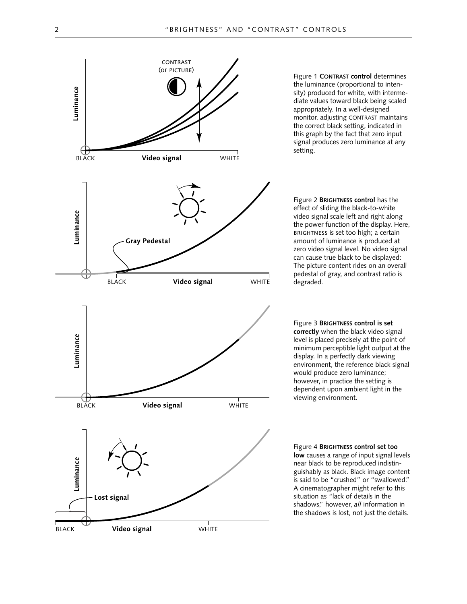

Figure 1 **CONTRAST control** determines the luminance (proportional to intensity) produced for white, with intermediate values toward black being scaled appropriately. In a well-designed monitor, adjusting CONTRAST maintains the correct black setting, indicated in this graph by the fact that zero input signal produces zero luminance at any setting.

Figure 2 **BRIGHTNESS control** has the effect of sliding the black-to-white video signal scale left and right along the power function of the display. Here, BRIGHTNESS is set too high; a certain amount of luminance is produced at zero video signal level. No video signal can cause true black to be displayed: The picture content rides on an overall pedestal of gray, and contrast ratio is degraded.

Figure 3 **BRIGHTNESS control is set correctly** when the black video signal level is placed precisely at the point of minimum perceptible light output at the display. In a perfectly dark viewing environment, the reference black signal would produce zero luminance; however, in practice the setting is dependent upon ambient light in the viewing environment.

Figure 4 **BRIGHTNESS control set too low** causes a range of input signal levels near black to be reproduced indistinguishably as black. Black image content is said to be "crushed" or "swallowed." A cinematographer might refer to this situation as "lack of details in the shadows," however, *all* information in the shadows is lost, not just the details.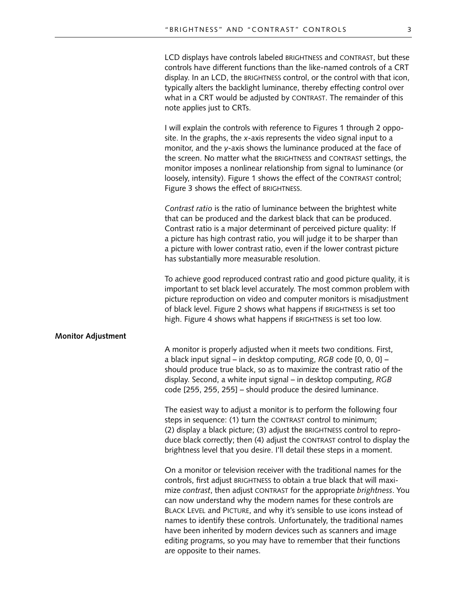LCD displays have controls labeled BRIGHTNESS and CONTRAST, but these controls have different functions than the like-named controls of a CRT display. In an LCD, the BRIGHTNESS control, or the control with that icon, typically alters the backlight luminance, thereby effecting control over what in a CRT would be adjusted by CONTRAST. The remainder of this note applies just to CRTs.

I will explain the controls with reference to Figures 1 through 2 opposite. In the graphs, the *x*-axis represents the video signal input to a monitor, and the *y*-axis shows the luminance produced at the face of the screen. No matter what the BRIGHTNESS and CONTRAST settings, the monitor imposes a nonlinear relationship from signal to luminance (or loosely, intensity). Figure 1 shows the effect of the CONTRAST control; Figure 3 shows the effect of BRIGHTNESS.

*Contrast ratio* is the ratio of luminance between the brightest white that can be produced and the darkest black that can be produced. Contrast ratio is a major determinant of perceived picture quality: If a picture has high contrast ratio, you will judge it to be sharper than a picture with lower contrast ratio, even if the lower contrast picture has substantially more measurable resolution.

To achieve good reproduced contrast ratio and good picture quality, it is important to set black level accurately. The most common problem with picture reproduction on video and computer monitors is misadjustment of black level. Figure 2 shows what happens if BRIGHTNESS is set too high. Figure 4 shows what happens if BRIGHTNESS is set too low.

### **Monitor Adjustment**

A monitor is properly adjusted when it meets two conditions. First, a black input signal – in desktop computing, *RGB* code [0, 0, 0] – should produce true black, so as to maximize the contrast ratio of the display. Second, a white input signal – in desktop computing, *RGB*  code [255, 255, 255] – should produce the desired luminance.

The easiest way to adjust a monitor is to perform the following four steps in sequence: (1) turn the CONTRAST control to minimum; (2) display a black picture; (3) adjust the BRIGHTNESS control to reproduce black correctly; then (4) adjust the CONTRAST control to display the brightness level that you desire. I'll detail these steps in a moment.

On a monitor or television receiver with the traditional names for the controls, first adjust BRIGHTNESS to obtain a true black that will maximize *contrast*, then adjust CONTRAST for the appropriate *brightness*. You can now understand why the modern names for these controls are BLACK LEVEL and PICTURE, and why it's sensible to use icons instead of names to identify these controls. Unfortunately, the traditional names have been inherited by modern devices such as scanners and image editing programs, so you may have to remember that their functions are opposite to their names.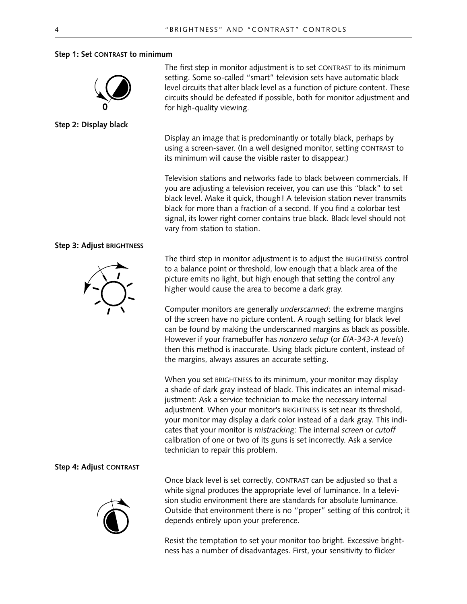### **Step 1: Set CONTRAST to minimum**



**Step 2: Display black** 

## **Step 3: Adjust BRIGHTNESS**



## **Step 4: Adjust CONTRAST**



The first step in monitor adjustment is to set CONTRAST to its minimum setting. Some so-called "smart" television sets have automatic black level circuits that alter black level as a function of picture content. These circuits should be defeated if possible, both for monitor adjustment and for high-quality viewing.

Display an image that is predominantly or totally black, perhaps by using a screen-saver. (In a well designed monitor, setting CONTRAST to its minimum will cause the visible raster to disappear.)

Television stations and networks fade to black between commercials. If you are adjusting a television receiver, you can use this "black" to set black level. Make it quick, though! A television station never transmits black for more than a fraction of a second. If you find a colorbar test signal, its lower right corner contains true black. Black level should not vary from station to station.

The third step in monitor adjustment is to adjust the BRIGHTNESS control to a balance point or threshold, low enough that a black area of the picture emits no light, but high enough that setting the control any higher would cause the area to become a dark gray.

Computer monitors are generally *underscanned*: the extreme margins of the screen have no picture content. A rough setting for black level can be found by making the underscanned margins as black as possible. However if your framebuffer has *nonzero setup* (or *EIA-343-A levels*) then this method is inaccurate. Using black picture content, instead of the margins, always assures an accurate setting.

When you set BRIGHTNESS to its minimum, your monitor may display a shade of dark gray instead of black. This indicates an internal misadjustment: Ask a service technician to make the necessary internal adjustment. When your monitor's BRIGHTNESS is set near its threshold, your monitor may display a dark color instead of a dark gray. This indicates that your monitor is *mistracking*: The internal *screen* or *cutoff* calibration of one or two of its guns is set incorrectly. Ask a service technician to repair this problem.

Once black level is set correctly, CONTRAST can be adjusted so that a white signal produces the appropriate level of luminance. In a television studio environment there are standards for absolute luminance. Outside that environment there is no "proper" setting of this control; it depends entirely upon your preference.

Resist the temptation to set your monitor too bright. Excessive brightness has a number of disadvantages. First, your sensitivity to flicker